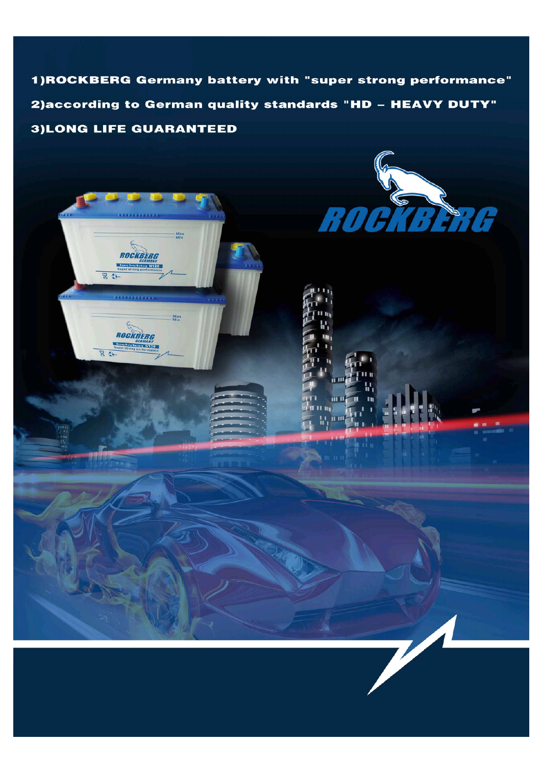1) ROCKBERG Germany battery with "super strong performance" 2) according to German quality standards "HD - HEAVY DUTY" **3)LONG LIFE GUARANTEED** 

Max<br>Min

Max<br>Min

ROCKBERG

ROCKBERG

 $\overline{86}$ 

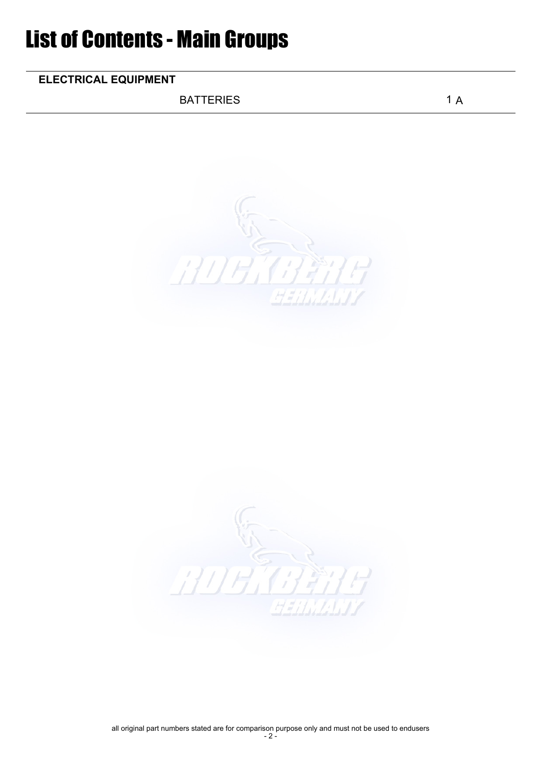## List of Contents - Main Groups

## ELECTRICAL EQUIPMENT

BATTERIES 1 A

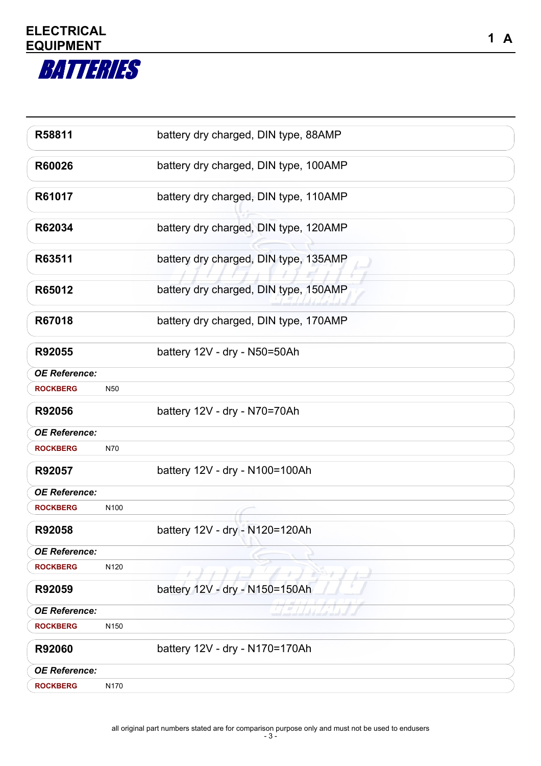

| R58811               |                  | battery dry charged, DIN type, 88AMP  |  |
|----------------------|------------------|---------------------------------------|--|
| R60026               |                  | battery dry charged, DIN type, 100AMP |  |
| R61017               |                  | battery dry charged, DIN type, 110AMP |  |
| R62034               |                  | battery dry charged, DIN type, 120AMP |  |
| R63511               |                  | battery dry charged, DIN type, 135AMP |  |
| R65012               |                  | battery dry charged, DIN type, 150AMP |  |
| R67018               |                  | battery dry charged, DIN type, 170AMP |  |
| R92055               |                  | battery 12V - dry - N50=50Ah          |  |
| <b>OE Reference:</b> |                  |                                       |  |
| <b>ROCKBERG</b>      | N50              |                                       |  |
| R92056               |                  | battery 12V - dry - N70=70Ah          |  |
| <b>OE Reference:</b> |                  |                                       |  |
| <b>ROCKBERG</b>      | N70              |                                       |  |
| R92057               |                  | battery 12V - dry - N100=100Ah        |  |
| <b>OE Reference:</b> |                  |                                       |  |
| <b>ROCKBERG</b>      | N <sub>100</sub> |                                       |  |
| R92058               |                  | battery 12V - dry - N120=120Ah        |  |
| <b>OE Reference:</b> |                  |                                       |  |
| <b>ROCKBERG</b>      | N120             |                                       |  |
| R92059               |                  | battery 12V - dry - N150=150Ah        |  |
| <b>OE Reference:</b> |                  |                                       |  |
| <b>ROCKBERG</b>      | N <sub>150</sub> |                                       |  |
| R92060               |                  | battery 12V - dry - N170=170Ah        |  |
| <b>OE Reference:</b> |                  |                                       |  |
| <b>ROCKBERG</b>      | N170             |                                       |  |
|                      |                  |                                       |  |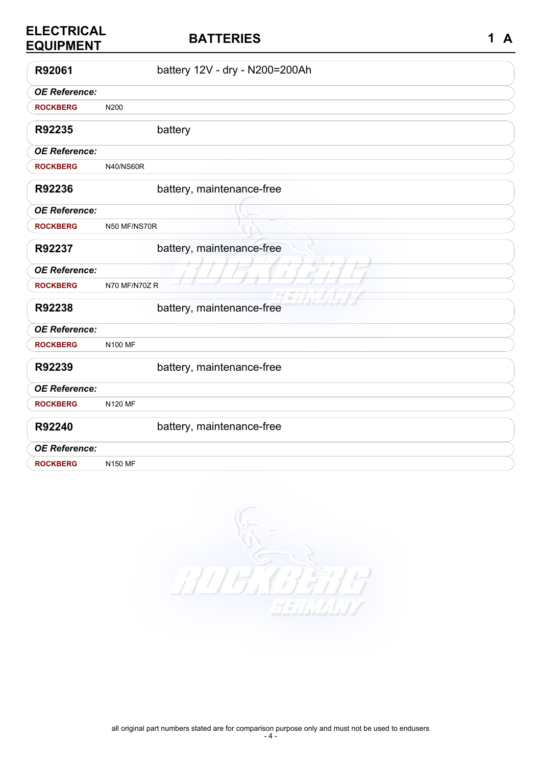| <b>ELECTRICAL</b><br><b>EQUIPMENT</b> | <b>BATTERIES</b>               | 1<br>$\mathbf{A}$ |
|---------------------------------------|--------------------------------|-------------------|
| R92061                                | battery 12V - dry - N200=200Ah |                   |
| <b>OE Reference:</b>                  |                                |                   |
| <b>ROCKBERG</b>                       | N200                           |                   |
| R92235                                | battery                        |                   |
| <b>OE Reference:</b>                  |                                |                   |
| <b>ROCKBERG</b>                       | <b>N40/NS60R</b>               |                   |
| R92236                                | battery, maintenance-free      |                   |
| <b>OE Reference:</b>                  |                                |                   |
| <b>ROCKBERG</b>                       | N50 MF/NS70R                   |                   |
| R92237                                | battery, maintenance-free      |                   |
| <b>OE Reference:</b>                  |                                |                   |
| <b>ROCKBERG</b>                       | N70 MF/N70Z R                  |                   |
| R92238                                | battery, maintenance-free      |                   |
| <b>OE Reference:</b>                  |                                |                   |
| <b>ROCKBERG</b>                       | <b>N100 MF</b>                 |                   |
| R92239                                | battery, maintenance-free      |                   |
| <b>OE Reference:</b>                  |                                |                   |
| <b>ROCKBERG</b>                       | <b>N120 MF</b>                 |                   |
| R92240                                | battery, maintenance-free      |                   |
| <b>OE Reference:</b>                  |                                |                   |
| <b>ROCKBERG</b>                       | N150 MF                        |                   |

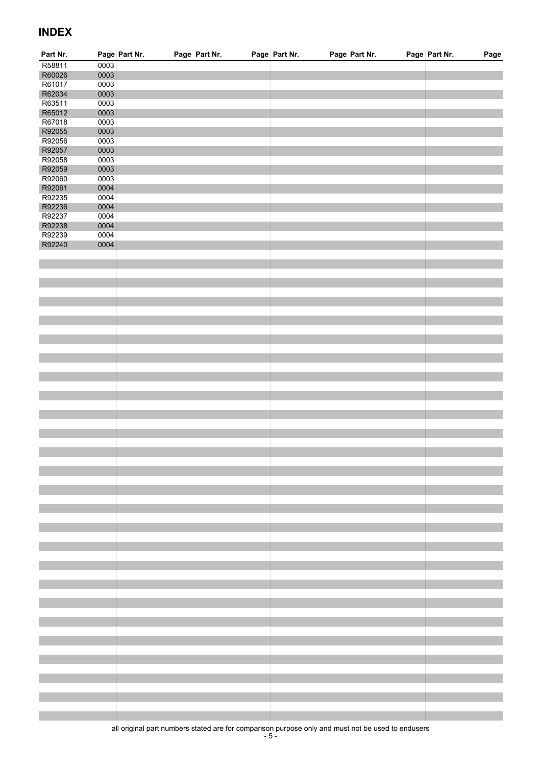## INDEX

| Part Nr.         |                                               | Page Part Nr. | Page Part Nr. | Page Part Nr. | Page Part Nr. | Page Part Nr.<br>Page |
|------------------|-----------------------------------------------|---------------|---------------|---------------|---------------|-----------------------|
| R58811           | $\begin{array}{c c} 0003 \\ 0003 \end{array}$ |               |               |               |               |                       |
| R60026           |                                               |               |               |               |               |                       |
| R61017           | 0003                                          |               |               |               |               |                       |
| R62034           | 0003                                          |               |               |               |               |                       |
| R63511           | 0003                                          |               |               |               |               |                       |
| R65012<br>R67018 | 0003<br>0003                                  |               |               |               |               |                       |
| R92055           | 0003                                          |               |               |               |               |                       |
| R92056           | 0003                                          |               |               |               |               |                       |
| R92057           | 0003                                          |               |               |               |               |                       |
| R92058           | 0003                                          |               |               |               |               |                       |
| R92059           | 0003                                          |               |               |               |               |                       |
| R92060           | 0003                                          |               |               |               |               |                       |
| R92061           | 0004                                          |               |               |               |               |                       |
| R92235           | 0004                                          |               |               |               |               |                       |
| R92236           | 0004                                          |               |               |               |               |                       |
| R92237           | 0004<br>0004                                  |               |               |               |               |                       |
| R92238<br>R92239 | 0004                                          |               |               |               |               |                       |
| R92240           | 0004                                          |               |               |               |               |                       |
|                  |                                               |               |               |               |               |                       |
|                  |                                               |               |               |               |               |                       |
|                  |                                               |               |               |               |               |                       |
|                  |                                               |               |               |               |               |                       |
|                  |                                               |               |               |               |               |                       |
|                  |                                               |               |               |               |               |                       |
|                  |                                               |               |               |               |               |                       |
|                  |                                               |               |               |               |               |                       |
|                  |                                               |               |               |               |               |                       |
|                  |                                               |               |               |               |               |                       |
|                  |                                               |               |               |               |               |                       |
|                  |                                               |               |               |               |               |                       |
|                  |                                               |               |               |               |               |                       |
|                  |                                               |               |               |               |               |                       |
|                  |                                               |               |               |               |               |                       |
|                  |                                               |               |               |               |               |                       |
|                  |                                               |               |               |               |               |                       |
|                  |                                               |               |               |               |               |                       |
|                  |                                               |               |               |               |               |                       |
|                  |                                               |               |               |               |               |                       |
|                  |                                               |               |               |               |               |                       |
|                  |                                               |               |               |               |               |                       |
|                  |                                               |               |               |               |               |                       |
|                  |                                               |               |               |               |               |                       |
|                  |                                               |               |               |               |               |                       |
|                  |                                               |               |               |               |               |                       |
|                  |                                               |               |               |               |               |                       |
|                  |                                               |               |               |               |               |                       |
|                  |                                               |               |               |               |               |                       |
|                  |                                               |               |               |               |               |                       |
|                  |                                               |               |               |               |               |                       |
|                  |                                               |               |               |               |               |                       |
|                  |                                               |               |               |               |               |                       |
|                  |                                               |               |               |               |               |                       |
|                  |                                               |               |               |               |               |                       |
|                  |                                               |               |               |               |               |                       |
|                  |                                               |               |               |               |               |                       |
|                  |                                               |               |               |               |               |                       |
|                  |                                               |               |               |               |               |                       |
|                  |                                               |               |               |               |               |                       |
|                  |                                               |               |               |               |               |                       |
|                  |                                               |               |               |               |               |                       |
|                  |                                               |               |               |               |               |                       |
|                  |                                               |               |               |               |               |                       |
|                  |                                               |               |               |               |               |                       |
|                  |                                               |               |               |               |               |                       |

all original part numbers stated are for comparison purpose only and must not be used to endusers